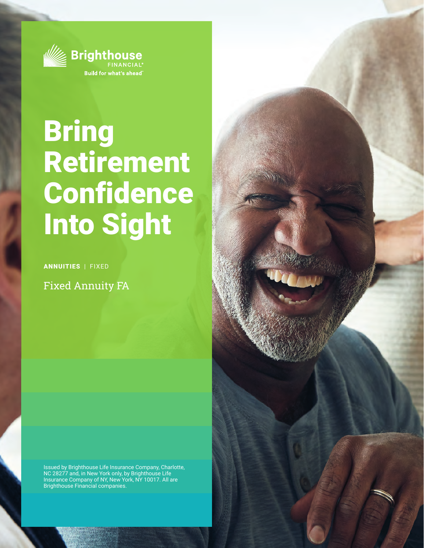

## Bring Retirement Confidence Into Sight

ANNUITIES | FIXED

Fixed Annuity FA

Issued by Brighthouse Life Insurance Company, Charlotte, NC 28277 and, in New York only, by Brighthouse Life Insurance Company of NY, New York, NY 10017. All are Brighthouse Financial companies.

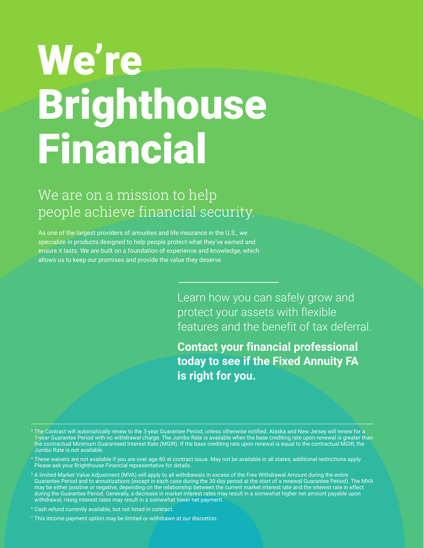# We're Brighthouse Financial

## We are on a mission to help people achieve financial security.

As one of the largest providers of annuities and life insurance in the U.S., we specialize in products designed to help people protect what they've earned and ensure it lasts. We are built on a foundation of experience and knowledge, which allows us to keep our promises and provide the value they deserve.

> Learn how you can safely grow and protect your assets with flexible features and the benefit of tax deferral.

**Contact your financial professional today to see if the Fixed Annuity FA is right for you.**

- $^{\rm 3}$  The Contract will automatically renew to the 3-year Guarantee Period, unless otherwise notified. Alaska and New Jersey will renew for a 1-year Guarantee Period with no withdrawal charge. The Jumbo Rate is available when the base crediting rate upon renewal is greater than the contractual Minimum Guaranteed Interest Rate (MGIR). If the base crediting rate upon renewal is equal to the contractual MGIR, the Jumbo Rate is not available.
- These waivers are not available if you are over age 80 at contract issue. May not be available in all states; additional restrictions apply. Please ask your Brighthouse Financial representative for details.
- $^{\rm 5}$  A limited Market Value Adjustment (MVA) will apply to all withdrawals in excess of the Free Withdrawal Amount during the entire Guarantee Period and to annuitizations (except in each case during the 30-day period at the start of a renewal Guarantee Period). The MVA may be either positive or negative, depending on the relationship between the current market interest rate and the interest rate in effect during the Guarantee Period. Generally, a decrease in market interest rates may result in a somewhat higher net amount payable upon withdrawal; rising interest rates may result in a somewhat lower net payment.
- 6 Cash refund currently available, but not listed in contract.
- 7 This income payment option may be limited or withdrawn at our discretion.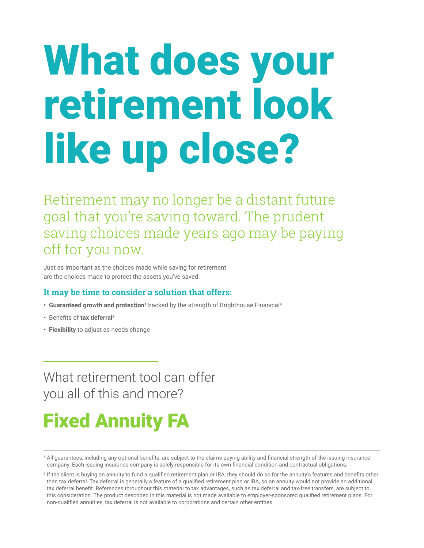# What does your retirement look like up close?

Retirement may no longer be a distant future goal that you're saving toward. The prudent saving choices made years ago may be paying off for you now.

Just as important as the choices made while saving for retirement are the choices made to protect the assets you've saved.

### **It may be time to consider a solution that offers:**

- **Guaranteed growth and protection<sup>1</sup>** backed by the strength of Brighthouse Financial®
- **•** Benefits of **tax deferral2**
- **Flexibility** to adjust as needs change

## What retirement tool can offer you all of this and more?

## Fixed Annuity FA

1 All guarantees, including any optional benefits, are subject to the claims-paying ability and financial strength of the issuing insurance company. Each issuing insurance company is solely responsible for its own financial condition and contractual obligations.

2 If the client is buying an annuity to fund a qualified retirement plan or IRA, they should do so for the annuity's features and benefits other than tax deferral. Tax deferral is generally a feature of a qualified retirement plan or IRA, so an annuity would not provide an additional tax deferral benefit. References throughout this material to tax advantages, such as tax deferral and tax-free transfers, are subject to this consideration. The product described in this material is not made available to employer-sponsored qualified retirement plans. For non-qualified annuities, tax deferral is not available to corporations and certain other entities.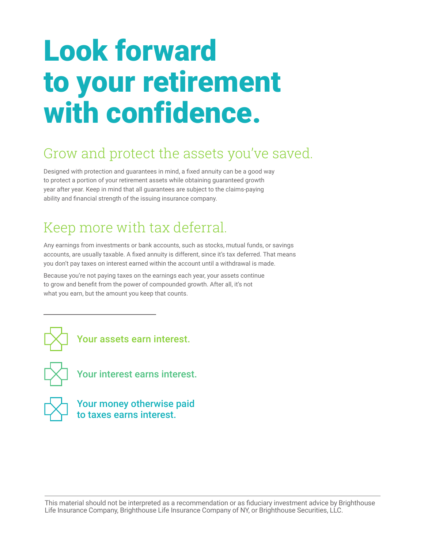# Look forward to your retirement with confidence.

## Grow and protect the assets you've saved.

Designed with protection and guarantees in mind, a fixed annuity can be a good way to protect a portion of your retirement assets while obtaining guaranteed growth year after year. Keep in mind that all guarantees are subject to the claims-paying ability and financial strength of the issuing insurance company.

## Keep more with tax deferral.

Any earnings from investments or bank accounts, such as stocks, mutual funds, or savings accounts, are usually taxable. A fixed annuity is different, since it's tax deferred. That means you don't pay taxes on interest earned within the account until a withdrawal is made.

Because you're not paying taxes on the earnings each year, your assets continue to grow and benefit from the power of compounded growth. After all, it's not what you earn, but the amount you keep that counts.





Your interest earns interest.



Your money otherwise paid to taxes earns interest.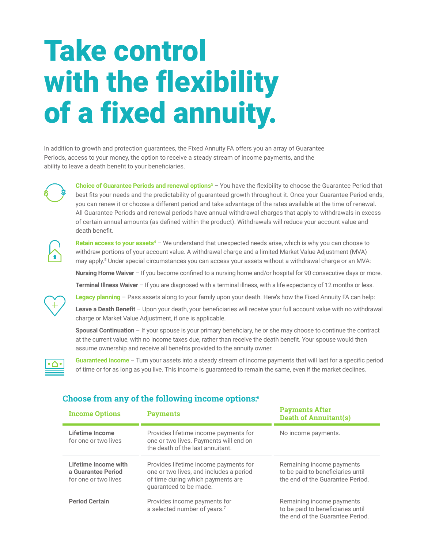# Take control with the flexibility of a fixed annuity.

In addition to growth and protection guarantees, the Fixed Annuity FA offers you an array of Guarantee Periods, access to your money, the option to receive a steady stream of income payments, and the ability to leave a death benefit to your beneficiaries.



**Choice of Guarantee Periods and renewal options<sup>3</sup>** – You have the flexibility to choose the Guarantee Period that best fits your needs and the predictability of guaranteed growth throughout it. Once your Guarantee Period ends, you can renew it or choose a different period and take advantage of the rates available at the time of renewal. All Guarantee Periods and renewal periods have annual withdrawal charges that apply to withdrawals in excess of certain annual amounts (as defined within the product). Withdrawals will reduce your account value and death benefit.

**Retain access to your assets<sup>4</sup>** – We understand that unexpected needs arise, which is why you can choose to withdraw portions of your account value. A withdrawal charge and a limited Market Value Adjustment (MVA) may apply.<sup>5</sup> Under special circumstances you can access your assets without a withdrawal charge or an MVA:

**Nursing Home Waiver** – If you become confined to a nursing home and/or hospital for 90 consecutive days or more.

**Terminal Illness Waiver** – If you are diagnosed with a terminal illness, with a life expectancy of 12 months or less.



**Legacy planning** – Pass assets along to your family upon your death. Here's how the Fixed Annuity FA can help:

**Leave a Death Benefit** – Upon your death, your beneficiaries will receive your full account value with no withdrawal charge or Market Value Adjustment, if one is applicable.

**Spousal Continuation** – If your spouse is your primary beneficiary, he or she may choose to continue the contract at the current value, with no income taxes due, rather than receive the death benefit. Your spouse would then assume ownership and receive all benefits provided to the annuity owner.



**Guaranteed income** – Turn your assets into a steady stream of income payments that will last for a specific period of time or for as long as you live. This income is guaranteed to remain the same, even if the market declines.

#### **Choose from any of the following income options:6**

| <b>Income Options</b>                                              | <b>Payments</b>                                                                                                                                 | <b>Payments After</b><br><b>Death of Annuitant(s)</b>                                              |
|--------------------------------------------------------------------|-------------------------------------------------------------------------------------------------------------------------------------------------|----------------------------------------------------------------------------------------------------|
| Lifetime Income<br>for one or two lives                            | Provides lifetime income payments for<br>one or two lives. Payments will end on<br>the death of the last annuitant.                             | No income payments.                                                                                |
| Lifetime Income with<br>a Guarantee Period<br>for one or two lives | Provides lifetime income payments for<br>one or two lives, and includes a period<br>of time during which payments are<br>quaranteed to be made. | Remaining income payments<br>to be paid to beneficiaries until<br>the end of the Guarantee Period. |
| <b>Period Certain</b>                                              | Provides income payments for<br>a selected number of years.7                                                                                    | Remaining income payments<br>to be paid to beneficiaries until<br>the end of the Guarantee Period. |